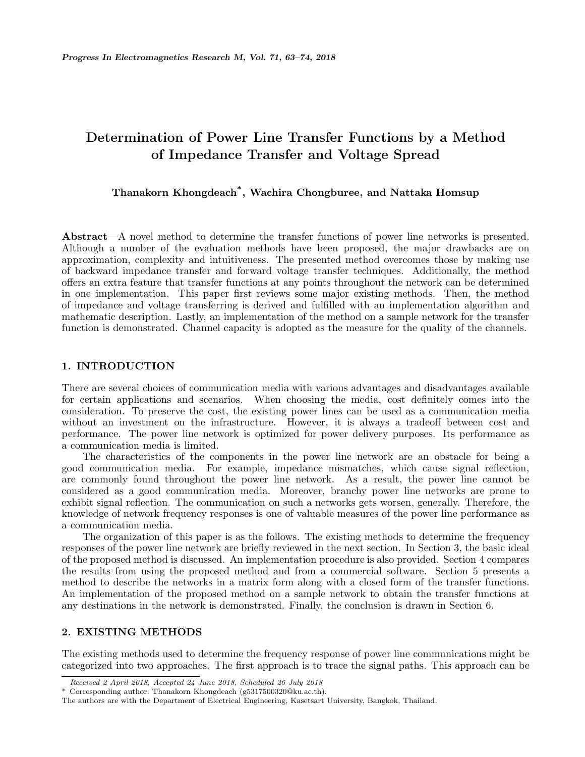# **Determination of Power Line Transfer Functions by a Method of Impedance Transfer and Voltage Spread**

# **Thanakorn Khongdeach\*, Wachira Chongburee, and Nattaka Homsup**

**Abstract**—A novel method to determine the transfer functions of power line networks is presented. Although a number of the evaluation methods have been proposed, the major drawbacks are on approximation, complexity and intuitiveness. The presented method overcomes those by making use of backward impedance transfer and forward voltage transfer techniques. Additionally, the method offers an extra feature that transfer functions at any points throughout the network can be determined in one implementation. This paper first reviews some major existing methods. Then, the method of impedance and voltage transferring is derived and fulfilled with an implementation algorithm and mathematic description. Lastly, an implementation of the method on a sample network for the transfer function is demonstrated. Channel capacity is adopted as the measure for the quality of the channels.

# **1. INTRODUCTION**

There are several choices of communication media with various advantages and disadvantages available for certain applications and scenarios. When choosing the media, cost definitely comes into the consideration. To preserve the cost, the existing power lines can be used as a communication media without an investment on the infrastructure. However, it is always a tradeoff between cost and performance. The power line network is optimized for power delivery purposes. Its performance as a communication media is limited.

The characteristics of the components in the power line network are an obstacle for being a good communication media. For example, impedance mismatches, which cause signal reflection, are commonly found throughout the power line network. As a result, the power line cannot be considered as a good communication media. Moreover, branchy power line networks are prone to exhibit signal reflection. The communication on such a networks gets worsen, generally. Therefore, the knowledge of network frequency responses is one of valuable measures of the power line performance as a communication media.

The organization of this paper is as the follows. The existing methods to determine the frequency responses of the power line network are briefly reviewed in the next section. In Section 3, the basic ideal of the proposed method is discussed. An implementation procedure is also provided. Section 4 compares the results from using the proposed method and from a commercial software. Section 5 presents a method to describe the networks in a matrix form along with a closed form of the transfer functions. An implementation of the proposed method on a sample network to obtain the transfer functions at any destinations in the network is demonstrated. Finally, the conclusion is drawn in Section 6.

# **2. EXISTING METHODS**

The existing methods used to determine the frequency response of power line communications might be categorized into two approaches. The first approach is to trace the signal paths. This approach can be

*Received 2 April 2018, Accepted 24 June 2018, Scheduled 26 July 2018*

<sup>\*</sup> Corresponding author: Thanakorn Khongdeach (g5317500320@ku.ac.th).

The authors are with the Department of Electrical Engineering, Kasetsart University, Bangkok, Thailand.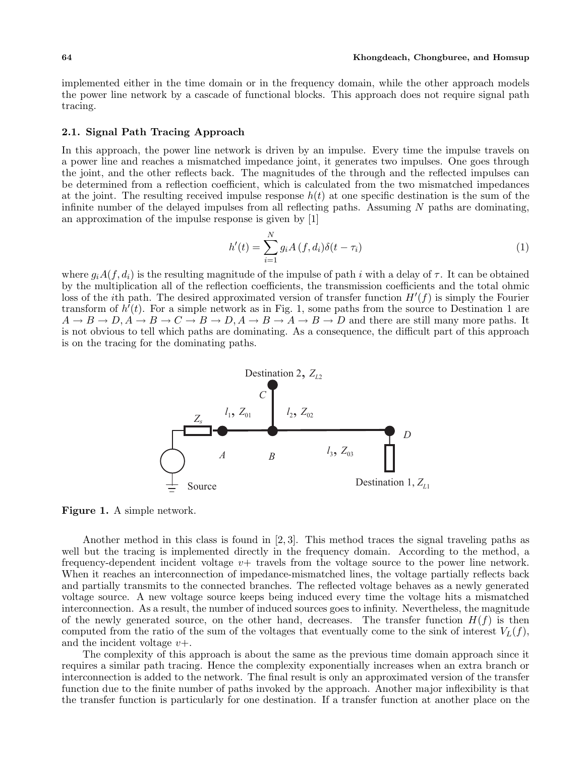implemented either in the time domain or in the frequency domain, while the other approach models the power line network by a cascade of functional blocks. This approach does not require signal path tracing.

## **2.1. Signal Path Tracing Approach**

In this approach, the power line network is driven by an impulse. Every time the impulse travels on a power line and reaches a mismatched impedance joint, it generates two impulses. One goes through the joint, and the other reflects back. The magnitudes of the through and the reflected impulses can be determined from a reflection coefficient, which is calculated from the two mismatched impedances at the joint. The resulting received impulse response  $h(t)$  at one specific destination is the sum of the infinite number of the delayed impulses from all reflecting paths. Assuming  $N$  paths are dominating, an approximation of the impulse response is given by [1]

$$
h'(t) = \sum_{i=1}^{N} g_i A(f, d_i) \delta(t - \tau_i)
$$
\n(1)

where  $g_iA(f, d_i)$  is the resulting magnitude of the impulse of path i with a delay of  $\tau$ . It can be obtained by the multiplication all of the reflection coefficients, the transmission coefficients and the total ohmic loss of the *i*th path. The desired approximated version of transfer function  $H'(f)$  is simply the Fourier transform of  $h'(t)$ . For a simple network as in Fig. 1, some paths from the source to Destination 1 are  $A \to B \to D$ ,  $A \to B \to C \to B \to D$ ,  $A \to B \to A \to B \to D$  and there are still many more paths. It is not obvious to tell which paths are dominating. As a consequence, the difficult part of this approach is on the tracing for the dominating paths.



**Figure 1.** A simple network.

Another method in this class is found in [2, 3]. This method traces the signal traveling paths as well but the tracing is implemented directly in the frequency domain. According to the method, a frequency-dependent incident voltage  $v+$  travels from the voltage source to the power line network. When it reaches an interconnection of impedance-mismatched lines, the voltage partially reflects back and partially transmits to the connected branches. The reflected voltage behaves as a newly generated voltage source. A new voltage source keeps being induced every time the voltage hits a mismatched interconnection. As a result, the number of induced sources goes to infinity. Nevertheless, the magnitude of the newly generated source, on the other hand, decreases. The transfer function  $H(f)$  is then computed from the ratio of the sum of the voltages that eventually come to the sink of interest  $V_L(f)$ , and the incident voltage  $v+$ .

The complexity of this approach is about the same as the previous time domain approach since it requires a similar path tracing. Hence the complexity exponentially increases when an extra branch or interconnection is added to the network. The final result is only an approximated version of the transfer function due to the finite number of paths invoked by the approach. Another major inflexibility is that the transfer function is particularly for one destination. If a transfer function at another place on the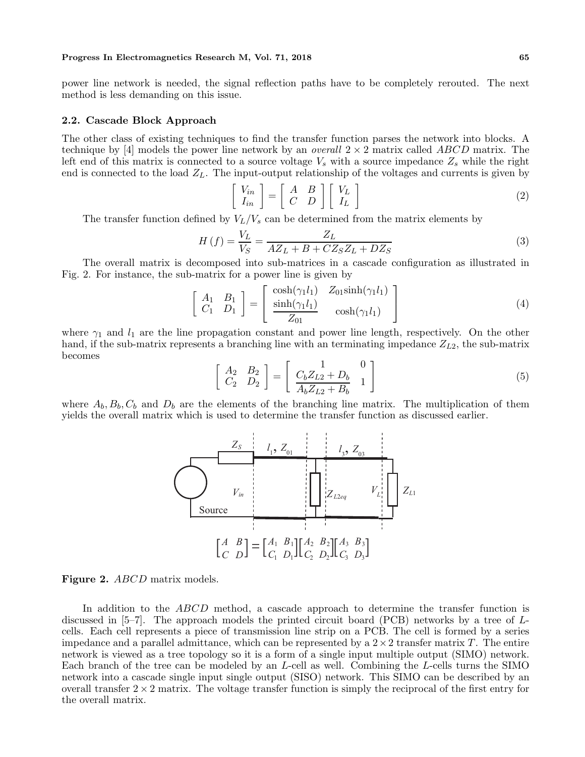power line network is needed, the signal reflection paths have to be completely rerouted. The next method is less demanding on this issue.

#### **2.2. Cascade Block Approach**

The other class of existing techniques to find the transfer function parses the network into blocks. A technique by [4] models the power line network by an *overall* 2 × 2 matrix called ABCD matrix. The left end of this matrix is connected to a source voltage  $V_s$  with a source impedance  $Z_s$  while the right end is connected to the load  $Z_L$ . The input-output relationship of the voltages and currents is given by

$$
\left[\begin{array}{c} V_{in} \\ I_{in} \end{array}\right] = \left[\begin{array}{cc} A & B \\ C & D \end{array}\right] \left[\begin{array}{c} V_L \\ I_L \end{array}\right] \tag{2}
$$

The transfer function defined by  $V_L/V_s$  can be determined from the matrix elements by

$$
H\left(f\right) = \frac{V_L}{V_S} = \frac{Z_L}{AZ_L + B + CZ_S Z_L + DZ_S} \tag{3}
$$

The overall matrix is decomposed into sub-matrices in a cascade configuration as illustrated in Fig. 2. For instance, the sub-matrix for a power line is given by

$$
\begin{bmatrix}\nA_1 & B_1 \\
C_1 & D_1\n\end{bmatrix} = \begin{bmatrix}\n\cosh(\gamma_1 l_1) & Z_{01}\sinh(\gamma_1 l_1) \\
\frac{\sinh(\gamma_1 l_1)}{Z_{01}} & \cosh(\gamma_1 l_1)\n\end{bmatrix}
$$
\n(4)

where  $\gamma_1$  and  $l_1$  are the line propagation constant and power line length, respectively. On the other hand, if the sub-matrix represents a branching line with an terminating impedance  $Z_{L2}$ , the sub-matrix becomes

$$
\left[\begin{array}{cc} A_2 & B_2 \\ C_2 & D_2 \end{array}\right] = \left[\begin{array}{cc} 1 & 0 \\ \frac{C_b Z_{L2} + D_b}{A_b Z_{L2} + B_b} & 1 \end{array}\right] \tag{5}
$$

where  $A_b, B_b, C_b$  and  $D_b$  are the elements of the branching line matrix. The multiplication of them yields the overall matrix which is used to determine the transfer function as discussed earlier.



**Figure 2.** ABCD matrix models.

In addition to the *ABCD* method, a cascade approach to determine the transfer function is discussed in [5–7]. The approach models the printed circuit board (PCB) networks by a tree of Lcells. Each cell represents a piece of transmission line strip on a PCB. The cell is formed by a series impedance and a parallel admittance, which can be represented by a  $2 \times 2$  transfer matrix T. The entire network is viewed as a tree topology so it is a form of a single input multiple output (SIMO) network. Each branch of the tree can be modeled by an L-cell as well. Combining the L-cells turns the SIMO network into a cascade single input single output (SISO) network. This SIMO can be described by an overall transfer  $2 \times 2$  matrix. The voltage transfer function is simply the reciprocal of the first entry for the overall matrix.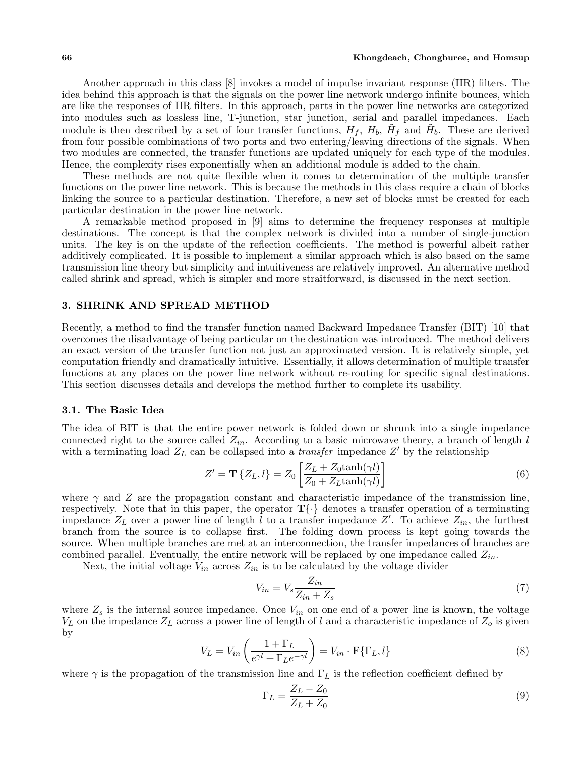Another approach in this class [8] invokes a model of impulse invariant response (IIR) filters. The idea behind this approach is that the signals on the power line network undergo infinite bounces, which are like the responses of IIR filters. In this approach, parts in the power line networks are categorized into modules such as lossless line, T-junction, star junction, serial and parallel impedances. Each module is then described by a set of four transfer functions,  $H_f$ ,  $H_b$ ,  $\tilde{H}_f$  and  $\tilde{H}_b$ . These are derived from four possible combinations of two ports and two entering/leaving directions of the signals. When two modules are connected, the transfer functions are updated uniquely for each type of the modules. Hence, the complexity rises exponentially when an additional module is added to the chain.

These methods are not quite flexible when it comes to determination of the multiple transfer functions on the power line network. This is because the methods in this class require a chain of blocks linking the source to a particular destination. Therefore, a new set of blocks must be created for each particular destination in the power line network.

A remarkable method proposed in [9] aims to determine the frequency responses at multiple destinations. The concept is that the complex network is divided into a number of single-junction units. The key is on the update of the reflection coefficients. The method is powerful albeit rather additively complicated. It is possible to implement a similar approach which is also based on the same transmission line theory but simplicity and intuitiveness are relatively improved. An alternative method called shrink and spread, which is simpler and more straitforward, is discussed in the next section.

### **3. SHRINK AND SPREAD METHOD**

Recently, a method to find the transfer function named Backward Impedance Transfer (BIT) [10] that overcomes the disadvantage of being particular on the destination was introduced. The method delivers an exact version of the transfer function not just an approximated version. It is relatively simple, yet computation friendly and dramatically intuitive. Essentially, it allows determination of multiple transfer functions at any places on the power line network without re-routing for specific signal destinations. This section discusses details and develops the method further to complete its usability.

#### **3.1. The Basic Idea**

The idea of BIT is that the entire power network is folded down or shrunk into a single impedance connected right to the source called  $Z_{in}$ . According to a basic microwave theory, a branch of length l with a terminating load  $Z_L$  can be collapsed into a *transfer* impedance  $Z'$  by the relationship

$$
Z' = \mathbf{T} \{ Z_L, l \} = Z_0 \left[ \frac{Z_L + Z_0 \tanh(\gamma l)}{Z_0 + Z_L \tanh(\gamma l)} \right]
$$
(6)

where  $\gamma$  and Z are the propagation constant and characteristic impedance of the transmission line, respectively. Note that in this paper, the operator  $\mathbf{T} \{\cdot\}$  denotes a transfer operation of a terminating impedance  $Z_L$  over a power line of length l to a transfer impedance  $Z'$ . To achieve  $Z_{in}$ , the furthest branch from the source is to collapse first. The folding down process is kept going towards the source. When multiple branches are met at an interconnection, the transfer impedances of branches are combined parallel. Eventually, the entire network will be replaced by one impedance called  $Z_{in}$ .

Next, the initial voltage  $V_{in}$  across  $Z_{in}$  is to be calculated by the voltage divider

$$
V_{in} = V_s \frac{Z_{in}}{Z_{in} + Z_s} \tag{7}
$$

where  $Z_s$  is the internal source impedance. Once  $V_{in}$  on one end of a power line is known, the voltage  $V_L$  on the impedance  $Z_L$  across a power line of length of l and a characteristic impedance of  $Z_o$  is given by

$$
V_L = V_{in} \left( \frac{1 + \Gamma_L}{e^{\gamma l} + \Gamma_L e^{-\gamma l}} \right) = V_{in} \cdot \mathbf{F} \{ \Gamma_L, l \}
$$
\n(8)

where  $\gamma$  is the propagation of the transmission line and  $\Gamma_L$  is the reflection coefficient defined by

$$
\Gamma_L = \frac{Z_L - Z_0}{Z_L + Z_0} \tag{9}
$$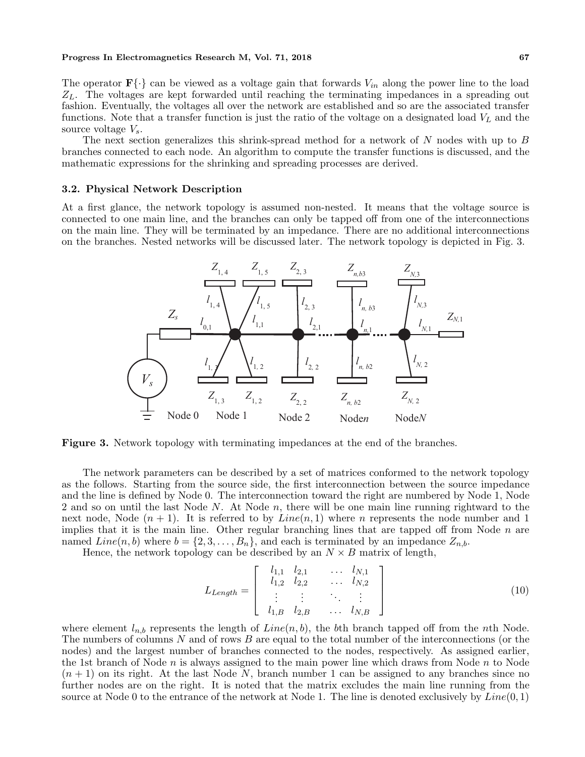The operator  $\mathbf{F}\{\cdot\}$  can be viewed as a voltage gain that forwards  $V_{in}$  along the power line to the load  $Z_L$ . The voltages are kept forwarded until reaching the terminating impedances in a spreading out fashion. Eventually, the voltages all over the network are established and so are the associated transfer functions. Note that a transfer function is just the ratio of the voltage on a designated load  $V<sub>L</sub>$  and the source voltage  $V_s$ .

The next section generalizes this shrink-spread method for a network of N nodes with up to B branches connected to each node. An algorithm to compute the transfer functions is discussed, and the mathematic expressions for the shrinking and spreading processes are derived.

# **3.2. Physical Network Description**

At a first glance, the network topology is assumed non-nested. It means that the voltage source is connected to one main line, and the branches can only be tapped off from one of the interconnections on the main line. They will be terminated by an impedance. There are no additional interconnections on the branches. Nested networks will be discussed later. The network topology is depicted in Fig. 3.



**Figure 3.** Network topology with terminating impedances at the end of the branches.

The network parameters can be described by a set of matrices conformed to the network topology as the follows. Starting from the source side, the first interconnection between the source impedance and the line is defined by Node 0. The interconnection toward the right are numbered by Node 1, Node 2 and so on until the last Node N. At Node n, there will be one main line running rightward to the next node, Node  $(n + 1)$ . It is referred to by  $Line(n, 1)$  where n represents the node number and 1 implies that it is the main line. Other regular branching lines that are tapped off from Node  $n$  are named  $Line(n, b)$  where  $b = \{2, 3, ..., B_n\}$ , and each is terminated by an impedance  $Z_{n,b}$ .

Hence, the network topology can be described by an  $N \times B$  matrix of length,

$$
L_{Length} = \begin{bmatrix} l_{1,1} & l_{2,1} & \dots & l_{N,1} \\ l_{1,2} & l_{2,2} & \dots & l_{N,2} \\ \vdots & \vdots & \ddots & \vdots \\ l_{1,B} & l_{2,B} & \dots & l_{N,B} \end{bmatrix}
$$
(10)

where element  $l_{n,b}$  represents the length of  $Line(n, b)$ , the bth branch tapped off from the nth Node. The numbers of columns N and of rows B are equal to the total number of the interconnections (or the nodes) and the largest number of branches connected to the nodes, respectively. As assigned earlier, the 1st branch of Node  $n$  is always assigned to the main power line which draws from Node  $n$  to Node  $(n + 1)$  on its right. At the last Node N, branch number 1 can be assigned to any branches since no further nodes are on the right. It is noted that the matrix excludes the main line running from the source at Node 0 to the entrance of the network at Node 1. The line is denoted exclusively by  $Line(0, 1)$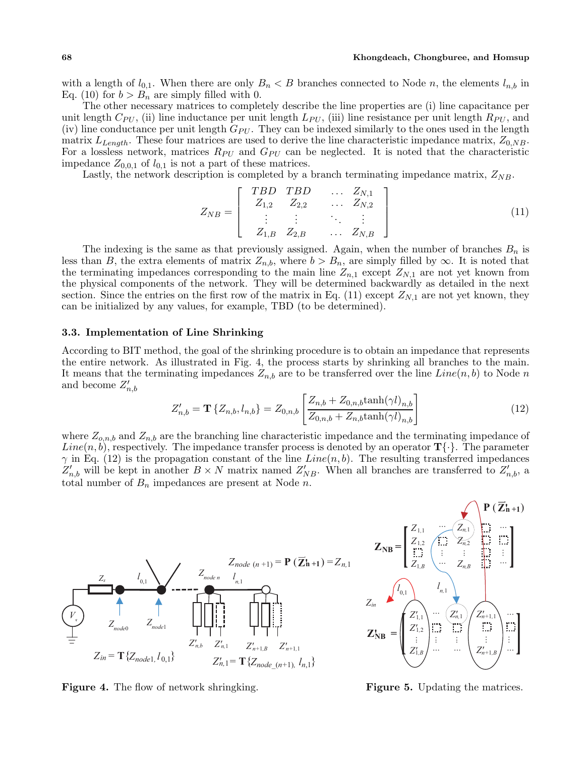with a length of  $l_{0,1}$ . When there are only  $B_n < B$  branches connected to Node n, the elements  $l_{n,b}$  in Eq. (10) for  $b > B_n$  are simply filled with 0.

The other necessary matrices to completely describe the line properties are (i) line capacitance per unit length  $C_{PU}$ , (ii) line inductance per unit length  $L_{PU}$ , (iii) line resistance per unit length  $R_{PU}$ , and (iv) line conductance per unit length  $G_{PU}$ . They can be indexed similarly to the ones used in the length matrix  $L_{Length}$ . These four matrices are used to derive the line characteristic impedance matrix,  $Z_{0,NB}$ . For a lossless network, matrices  $R_{PU}$  and  $G_{PU}$  can be neglected. It is noted that the characteristic impedance  $Z_{0,0,1}$  of  $l_{0,1}$  is not a part of these matrices.

Lastly, the network description is completed by a branch terminating impedance matrix,  $Z_{NB}$ .

$$
Z_{NB} = \left[ \begin{array}{cccc} TBD & TBD & \dots & Z_{N,1} \\ Z_{1,2} & Z_{2,2} & \dots & Z_{N,2} \\ \vdots & \vdots & \ddots & \vdots \\ Z_{1,B} & Z_{2,B} & \dots & Z_{N,B} \end{array} \right] \tag{11}
$$

The indexing is the same as that previously assigned. Again, when the number of branches  $B_n$  is less than B, the extra elements of matrix  $Z_{n,b}$ , where  $b > B_{n}$  are simply filled by  $\infty$ . It is noted that the terminating impedances corresponding to the main line  $Z_{n,1}$  except  $Z_{N,1}$  are not yet known from the physical components of the network. They will be determined backwardly as detailed in the next section. Since the entries on the first row of the matrix in Eq. (11) except  $Z_{N,1}$  are not yet known, they can be initialized by any values, for example, TBD (to be determined).

#### **3.3. Implementation of Line Shrinking**

According to BIT method, the goal of the shrinking procedure is to obtain an impedance that represents the entire network. As illustrated in Fig. 4, the process starts by shrinking all branches to the main. It means that the terminating impedances  $Z_{n,b}$  are to be transferred over the line  $Line(n, b)$  to Node n and become  $Z'_{n,b}$ 

$$
Z'_{n,b} = \mathbf{T} \left\{ Z_{n,b}, l_{n,b} \right\} = Z_{0,n,b} \left[ \frac{Z_{n,b} + Z_{0,n,b} \tanh(\gamma l)_{n,b}}{Z_{0,n,b} + Z_{n,b} \tanh(\gamma l)_{n,b}} \right]
$$
(12)

where  $Z_{o,n,b}$  and  $Z_{n,b}$  are the branching line characteristic impedance and the terminating impedance of  $Line(n, b)$ , respectively. The impedance transfer process is denoted by an operator  $\mathbf{T} \{\cdot\}$ . The parameter  $\gamma$  in Eq. (12) is the propagation constant of the line  $Line(n, b)$ . The resulting transferred impedances  $Z'_{n,b}$  will be kept in another  $B \times N$  matrix named  $Z'_{NB}$ . When all branches are transferred to  $Z'_{n,b}$ , a total number of  $B_n$  impedances are present at Node n.



**Figure 4.** The flow of network shringking.

**Figure 5.** Updating the matrices.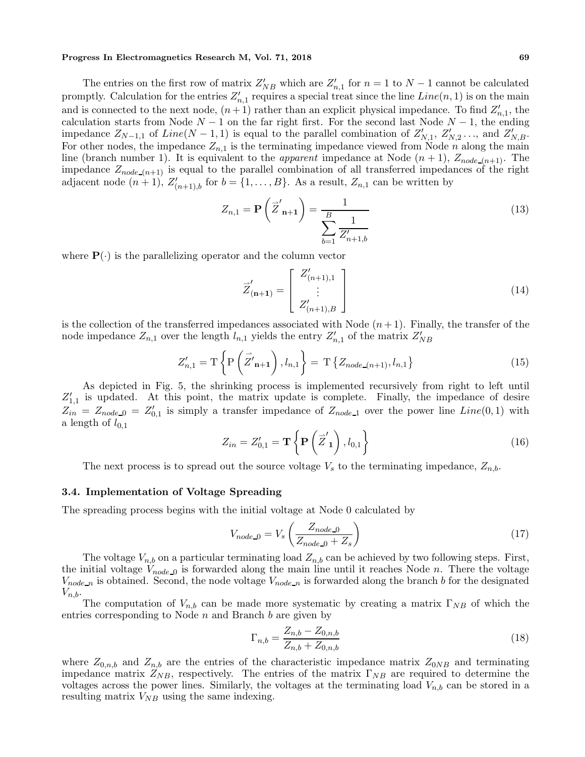The entries on the first row of matrix  $Z'_{NB}$  which are  $Z'_{n,1}$  for  $n = 1$  to  $N - 1$  cannot be calculated promptly. Calculation for the entries  $Z'_{n,1}$  requires a special treat since the line  $Line(n, 1)$  is on the main and is connected to the next node,  $(n+1)$  rather than an explicit physical impedance. To find  $Z'_{n,1}$ , the calculation starts from Node  $N-1$  on the far right first. For the second last Node  $N-1$ , the ending impedance  $Z_{N-1,1}$  of  $Line(N-1,1)$  is equal to the parallel combination of  $Z'_{N,1}, Z'_{N,2}, \ldots$ , and  $Z'_{N,B}$ . For other nodes, the impedance  $Z_{n,1}$  is the terminating impedance viewed from Node n along the main line (branch number 1). It is equivalent to the *apparent* impedance at Node  $(n + 1)$ ,  $Z_{node_-(n+1)}$ . The impedance  $Z_{node(n+1)}$  is equal to the parallel combination of all transferred impedances of the right adjacent node  $(n+1)$ ,  $Z'_{(n+1),b}$  for  $b = \{1,\ldots,B\}$ . As a result,  $Z_{n,1}$  can be written by

$$
Z_{n,1} = \mathbf{P}\left(\overline{Z}'_{n+1}\right) = \frac{1}{\sum_{b=1}^{B} \frac{1}{Z'_{n+1,b}}}
$$
(13)

where  $P(\cdot)$  is the parallelizing operator and the column vector

$$
\vec{Z}'_{(n+1)} = \begin{bmatrix} Z'_{(n+1),1} \\ \vdots \\ Z'_{(n+1),B} \end{bmatrix}
$$
 (14)

is the collection of the transferred impedances associated with Node  $(n+1)$ . Finally, the transfer of the node impedance  $Z_{n,1}$  over the length  $l_{n,1}$  yields the entry  $Z'_{n,1}$  of the matrix  $Z'_{NB}$ 

$$
Z'_{n,1} = T\left\{P\left(\vec{Z'}_{n+1}\right), l_{n,1}\right\} = T\left\{Z_{node_{n+1)}, l_{n,1}\right\}
$$
(15)

As depicted in Fig. 5, the shrinking process is implemented recursively from right to left until  $Z'_{1,1}$  is updated. At this point, the matrix update is complete. Finally, the impedance of desire  $Z_{in} = Z_{node\_0} = Z'_{0,1}$  is simply a transfer impedance of  $Z_{node\_1}$  over the power line  $Line(0,1)$  with a length of  $l_{0,1}$ 

$$
Z_{in} = Z'_{0,1} = \mathbf{T} \left\{ \mathbf{P} \left( \vec{Z}'_{1} \right), l_{0,1} \right\} \tag{16}
$$

The next process is to spread out the source voltage  $V_s$  to the terminating impedance,  $Z_{n,b}$ .

### **3.4. Implementation of Voltage Spreading**

The spreading process begins with the initial voltage at Node 0 calculated by

$$
V_{node\_0} = V_s \left( \frac{Z_{node\_0}}{Z_{node\_0} + Z_s} \right) \tag{17}
$$

The voltage  $V_{n,b}$  on a particular terminating load  $Z_{n,b}$  can be achieved by two following steps. First, the initial voltage  $V_{node\_0}$  is forwarded along the main line until it reaches Node n. There the voltage  $V_{node\_n}$  is obtained. Second, the node voltage  $V_{node\_n}$  is forwarded along the branch b for the designated  $V_{n,b}$ .

The computation of  $V_{n,b}$  can be made more systematic by creating a matrix  $\Gamma_{NB}$  of which the entries corresponding to Node  $n$  and Branch  $b$  are given by

$$
\Gamma_{n,b} = \frac{Z_{n,b} - Z_{0,n,b}}{Z_{n,b} + Z_{0,n,b}}
$$
\n(18)

where  $Z_{0,n,b}$  and  $Z_{n,b}$  are the entries of the characteristic impedance matrix  $Z_{0NB}$  and terminating impedance matrix  $Z_{NB}$ , respectively. The entries of the matrix  $\Gamma_{NB}$  are required to determine the voltages across the power lines. Similarly, the voltages at the terminating load  $V_{n,b}$  can be stored in a resulting matrix  $V_{NB}$  using the same indexing.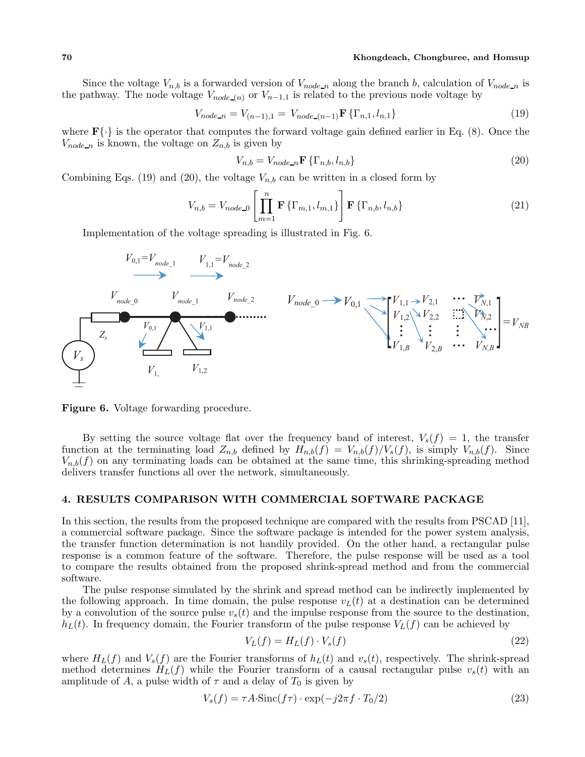# **70 Khongdeach, Chongburee, and Homsup**

Since the voltage  $V_{n,b}$  is a forwarded version of  $V_{node_n}$  along the branch b, calculation of  $V_{node_n}$  is the pathway. The node voltage  $V_{node(n)}$  or  $V_{n-1,1}$  is related to the previous node voltage by

$$
V_{node\_n} = V_{(n-1),1} = V_{node_-(n-1)} \mathbf{F} \{ \Gamma_{n,1}, l_{n,1} \}
$$
\n(19)

where  $\mathbf{F}\{\cdot\}$  is the operator that computes the forward voltage gain defined earlier in Eq. (8). Once the  $V_{node\_n}$  is known, the voltage on  $Z_{n,b}$  is given by

$$
V_{n,b} = V_{node\_n} \mathbf{F} \{ \Gamma_{n,b}, l_{n,b} \}
$$
\n
$$
(20)
$$

Combining Eqs. (19) and (20), the voltage  $V_{n,b}$  can be written in a closed form by

$$
V_{n,b} = V_{node\_0} \left[ \prod_{m=1}^{n} \mathbf{F} \left\{ \Gamma_{m,1}, l_{m,1} \right\} \right] \mathbf{F} \left\{ \Gamma_{n,b}, l_{n,b} \right\} \tag{21}
$$

Implementation of the voltage spreading is illustrated in Fig. 6.



**Figure 6.** Voltage forwarding procedure.

By setting the source voltage flat over the frequency band of interest,  $V_s(f) = 1$ , the transfer function at the terminating load  $Z_{n,b}$  defined by  $H_{n,b}(f) = V_{n,b}(f)/V_s(f)$ , is simply  $V_{n,b}(f)$ . Since  $V_{n,b}(f)$  on any terminating loads can be obtained at the same time, this shrinking-spreading method delivers transfer functions all over the network, simultaneously.

# **4. RESULTS COMPARISON WITH COMMERCIAL SOFTWARE PACKAGE**

In this section, the results from the proposed technique are compared with the results from PSCAD [11], a commercial software package. Since the software package is intended for the power system analysis, the transfer function determination is not handily provided. On the other hand, a rectangular pulse response is a common feature of the software. Therefore, the pulse response will be used as a tool to compare the results obtained from the proposed shrink-spread method and from the commercial software.

The pulse response simulated by the shrink and spread method can be indirectly implemented by the following approach. In time domain, the pulse response  $v<sub>L</sub>(t)$  at a destination can be determined by a convolution of the source pulse  $v_s(t)$  and the impulse response from the source to the destination,  $h_L(t)$ . In frequency domain, the Fourier transform of the pulse response  $V_L(f)$  can be achieved by

$$
V_L(f) = H_L(f) \cdot V_s(f) \tag{22}
$$

where  $H_L(f)$  and  $V_s(f)$  are the Fourier transforms of  $h_L(t)$  and  $v_s(t)$ , respectively. The shrink-spread method determines  $H_L(f)$  while the Fourier transform of a causal rectangular pulse  $v_s(t)$  with an amplitude of A, a pulse width of  $\tau$  and a delay of  $T_0$  is given by

$$
V_s(f) = \tau A \cdot \text{Sinc}(f\tau) \cdot \exp(-j2\pi f \cdot T_0/2)
$$
\n(23)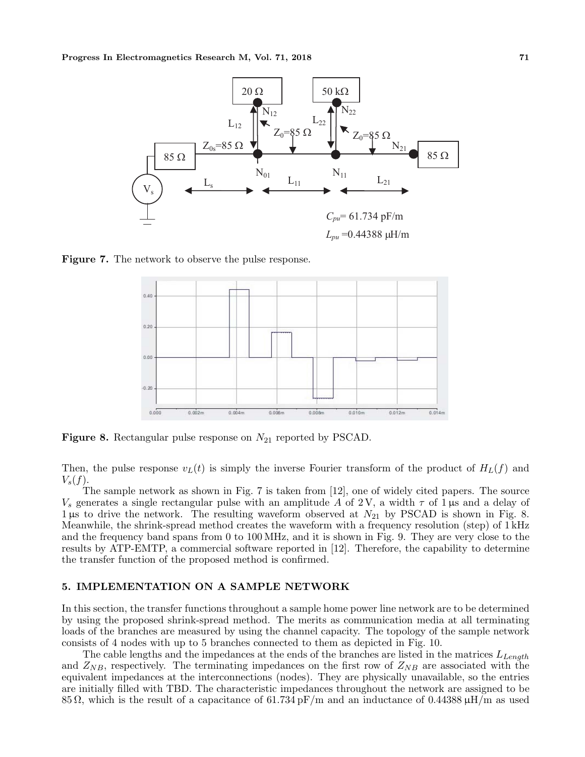

**Figure 7.** The network to observe the pulse response.



**Figure 8.** Rectangular pulse response on  $N_{21}$  reported by PSCAD.

Then, the pulse response  $v<sub>L</sub>(t)$  is simply the inverse Fourier transform of the product of  $H<sub>L</sub>(f)$  and  $V_s(f)$ .

The sample network as shown in Fig. 7 is taken from [12], one of widely cited papers. The source  $V_s$  generates a single rectangular pulse with an amplitude A of 2V, a width  $\tau$  of 1  $\mu$ s and a delay of 1 µs to drive the network. The resulting waveform observed at  $N_{21}$  by PSCAD is shown in Fig. 8. Meanwhile, the shrink-spread method creates the waveform with a frequency resolution (step) of 1 kHz and the frequency band spans from 0 to 100 MHz, and it is shown in Fig. 9. They are very close to the results by ATP-EMTP, a commercial software reported in [12]. Therefore, the capability to determine the transfer function of the proposed method is confirmed.

## **5. IMPLEMENTATION ON A SAMPLE NETWORK**

In this section, the transfer functions throughout a sample home power line network are to be determined by using the proposed shrink-spread method. The merits as communication media at all terminating loads of the branches are measured by using the channel capacity. The topology of the sample network consists of 4 nodes with up to 5 branches connected to them as depicted in Fig. 10.

The cable lengths and the impedances at the ends of the branches are listed in the matrices  $L_{Lench}$ and  $Z_{NB}$ , respectively. The terminating impedances on the first row of  $Z_{NB}$  are associated with the equivalent impedances at the interconnections (nodes). They are physically unavailable, so the entries are initially filled with TBD. The characteristic impedances throughout the network are assigned to be 85  $\Omega$ , which is the result of a capacitance of 61.734 pF/m and an inductance of 0.44388  $\mu$ H/m as used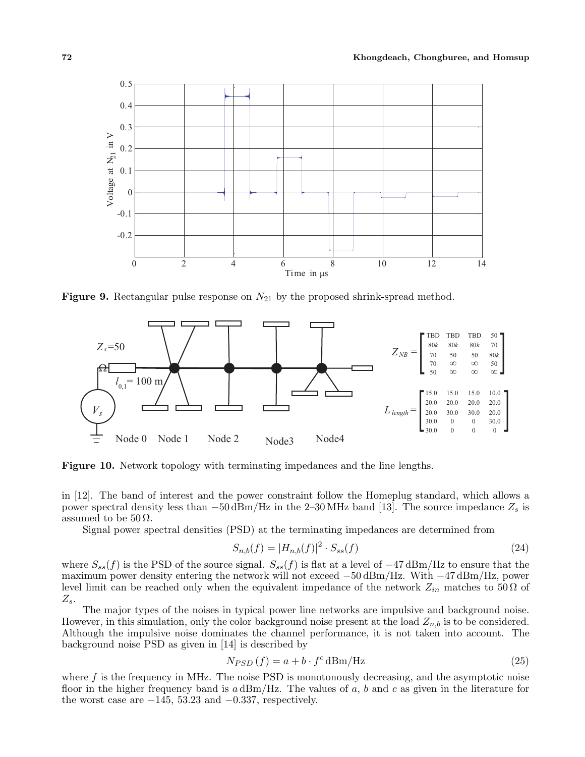

**Figure 9.** Rectangular pulse response on  $N_{21}$  by the proposed shrink-spread method.



**Figure 10.** Network topology with terminating impedances and the line lengths.

in [12]. The band of interest and the power constraint follow the Homeplug standard, which allows a power spectral density less than  $-50 \text{ dBm}/\text{Hz}$  in the 2–30 MHz band [13]. The source impedance  $Z_s$  is assumed to be  $50 \Omega$ .

Signal power spectral densities (PSD) at the terminating impedances are determined from

$$
S_{n,b}(f) = |H_{n,b}(f)|^2 \cdot S_{ss}(f) \tag{24}
$$

where  $S_{ss}(f)$  is the PSD of the source signal.  $S_{ss}(f)$  is flat at a level of  $-47 \text{ dBm/Hz}$  to ensure that the maximum power density entering the network will not exceed −50 dBm/Hz. With −47 dBm/Hz, power level limit can be reached only when the equivalent impedance of the network  $Z_{in}$  matches to 50  $\Omega$  of  $Z_s$ .

The major types of the noises in typical power line networks are impulsive and background noise. However, in this simulation, only the color background noise present at the load  $Z_{n,b}$  is to be considered. Although the impulsive noise dominates the channel performance, it is not taken into account. The background noise PSD as given in [14] is described by

$$
N_{PSD}(f) = a + b \cdot f^c \, \text{dBm/Hz} \tag{25}
$$

where  $f$  is the frequency in MHz. The noise PSD is monotonously decreasing, and the asymptotic noise floor in the higher frequency band is  $a \text{ dBm}/\text{Hz}$ . The values of a, b and c as given in the literature for the worst case are  $-145$ , 53.23 and  $-0.337$ , respectively.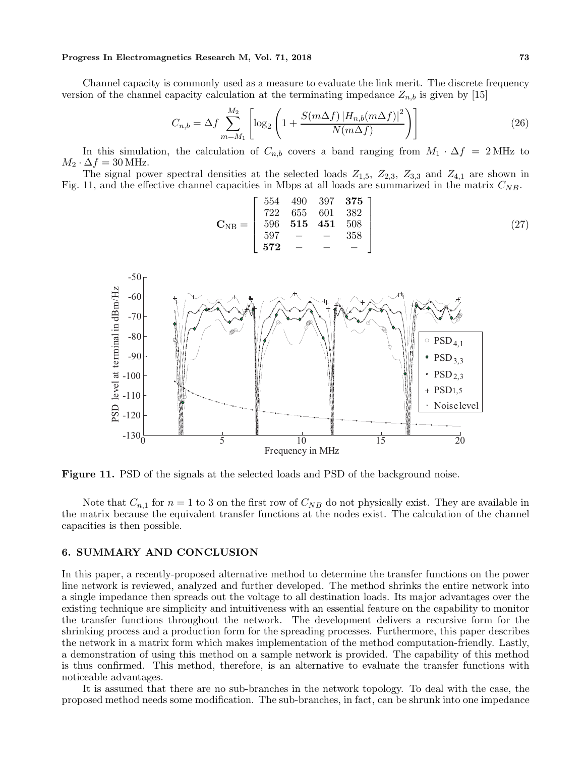Channel capacity is commonly used as a measure to evaluate the link merit. The discrete frequency version of the channel capacity calculation at the terminating impedance  $Z_{n,b}$  is given by [15]

$$
C_{n,b} = \Delta f \sum_{m=M_1}^{M_2} \left[ \log_2 \left( 1 + \frac{S(m\Delta f) \, |H_{n,b}(m\Delta f)|^2}{N(m\Delta f)} \right) \right] \tag{26}
$$

In this simulation, the calculation of  $C_{n,b}$  covers a band ranging from  $M_1 \cdot \Delta f = 2 \text{ MHz}$  to  $M_2 \cdot \Delta f = 30$  MHz.

The signal power spectral densities at the selected loads  $Z_{1,5}$ ,  $Z_{2,3}$ ,  $Z_{3,3}$  and  $Z_{4,1}$  are shown in Fig. 11, and the effective channel capacities in Mbps at all loads are summarized in the matrix  $C_{NB}$ .

$$
\mathbf{C}_{\mathrm{NB}} = \left[ \begin{array}{cccc} 554 & 490 & 397 & \mathbf{375} \\ 722 & 655 & 601 & 382 \\ 596 & \mathbf{515} & \mathbf{451} & 508 \\ 597 & - & - & 358 \\ \mathbf{572} & - & - & - \end{array} \right] \tag{27}
$$



**Figure 11.** PSD of the signals at the selected loads and PSD of the background noise.

Note that  $C_{n,1}$  for  $n = 1$  to 3 on the first row of  $C_{NB}$  do not physically exist. They are available in the matrix because the equivalent transfer functions at the nodes exist. The calculation of the channel capacities is then possible.

# **6. SUMMARY AND CONCLUSION**

In this paper, a recently-proposed alternative method to determine the transfer functions on the power line network is reviewed, analyzed and further developed. The method shrinks the entire network into a single impedance then spreads out the voltage to all destination loads. Its major advantages over the existing technique are simplicity and intuitiveness with an essential feature on the capability to monitor the transfer functions throughout the network. The development delivers a recursive form for the shrinking process and a production form for the spreading processes. Furthermore, this paper describes the network in a matrix form which makes implementation of the method computation-friendly. Lastly, a demonstration of using this method on a sample network is provided. The capability of this method is thus confirmed. This method, therefore, is an alternative to evaluate the transfer functions with noticeable advantages.

It is assumed that there are no sub-branches in the network topology. To deal with the case, the proposed method needs some modification. The sub-branches, in fact, can be shrunk into one impedance